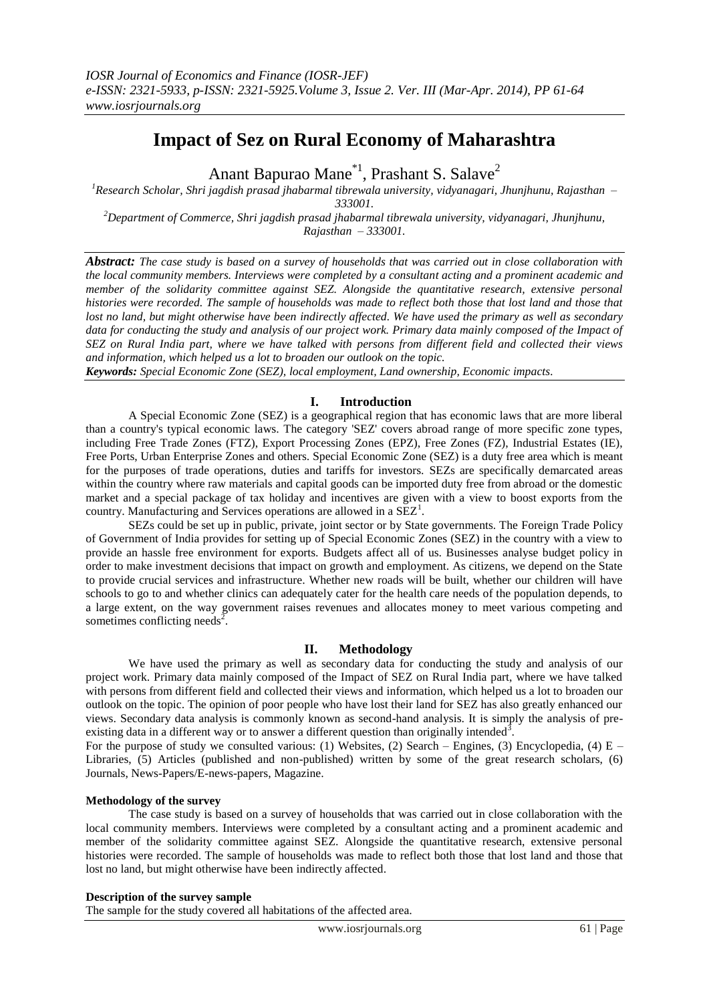# **Impact of Sez on Rural Economy of Maharashtra**

Anant Bapurao Mane<sup>\*1</sup>, Prashant S. Salave<sup>2</sup>

*<sup>1</sup>Research Scholar, Shri jagdish prasad jhabarmal tibrewala university, vidyanagari, Jhunjhunu, Rajasthan – 333001.*

*<sup>2</sup>Department of Commerce, Shri jagdish prasad jhabarmal tibrewala university, vidyanagari, Jhunjhunu, Rajasthan – 333001.*

*Abstract: The case study is based on a survey of households that was carried out in close collaboration with the local community members. Interviews were completed by a consultant acting and a prominent academic and member of the solidarity committee against SEZ. Alongside the quantitative research, extensive personal histories were recorded. The sample of households was made to reflect both those that lost land and those that lost no land, but might otherwise have been indirectly affected. We have used the primary as well as secondary*  data for conducting the study and analysis of our project work. Primary data mainly composed of the Impact of *SEZ on Rural India part, where we have talked with persons from different field and collected their views and information, which helped us a lot to broaden our outlook on the topic.*

*Keywords: Special Economic Zone (SEZ), local employment, Land ownership, Economic impacts.*

#### **I. Introduction**

A Special Economic Zone (SEZ) is a geographical region that has economic laws that are more liberal than a country's typical economic laws. The category 'SEZ' covers abroad range of more specific zone types, including Free Trade Zones (FTZ), Export Processing Zones (EPZ), Free Zones (FZ), Industrial Estates (IE), Free Ports, Urban Enterprise Zones and others. Special Economic Zone (SEZ) is a duty free area which is meant for the purposes of trade operations, duties and tariffs for investors. SEZs are specifically demarcated areas within the country where raw materials and capital goods can be imported duty free from abroad or the domestic market and a special package of tax holiday and incentives are given with a view to boost exports from the country. Manufacturing and Services operations are allowed in a  $SEZ<sup>1</sup>$ .

SEZs could be set up in public, private, joint sector or by State governments. The Foreign Trade Policy of Government of India provides for setting up of Special Economic Zones (SEZ) in the country with a view to provide an hassle free environment for exports. Budgets affect all of us. Businesses analyse budget policy in order to make investment decisions that impact on growth and employment. As citizens, we depend on the State to provide crucial services and infrastructure. Whether new roads will be built, whether our children will have schools to go to and whether clinics can adequately cater for the health care needs of the population depends, to a large extent, on the way government raises revenues and allocates money to meet various competing and sometimes conflicting needs<sup>2</sup>.

### **II. Methodology**

We have used the primary as well as secondary data for conducting the study and analysis of our project work. Primary data mainly composed of the Impact of SEZ on Rural India part, where we have talked with persons from different field and collected their views and information, which helped us a lot to broaden our outlook on the topic. The opinion of poor people who have lost their land for SEZ has also greatly enhanced our views. Secondary data analysis is commonly known as second-hand analysis. It is simply the analysis of preexisting data in a different way or to answer a different question than originally intended<sup>3</sup>.

For the purpose of study we consulted various: (1) Websites, (2) Search – Engines, (3) Encyclopedia, (4)  $E -$ Libraries, (5) Articles (published and non-published) written by some of the great research scholars, (6) Journals, News-Papers/E-news-papers, Magazine.

#### **Methodology of the survey**

The case study is based on a survey of households that was carried out in close collaboration with the local community members. Interviews were completed by a consultant acting and a prominent academic and member of the solidarity committee against SEZ. Alongside the quantitative research, extensive personal histories were recorded. The sample of households was made to reflect both those that lost land and those that lost no land, but might otherwise have been indirectly affected.

#### **Description of the survey sample**

The sample for the study covered all habitations of the affected area.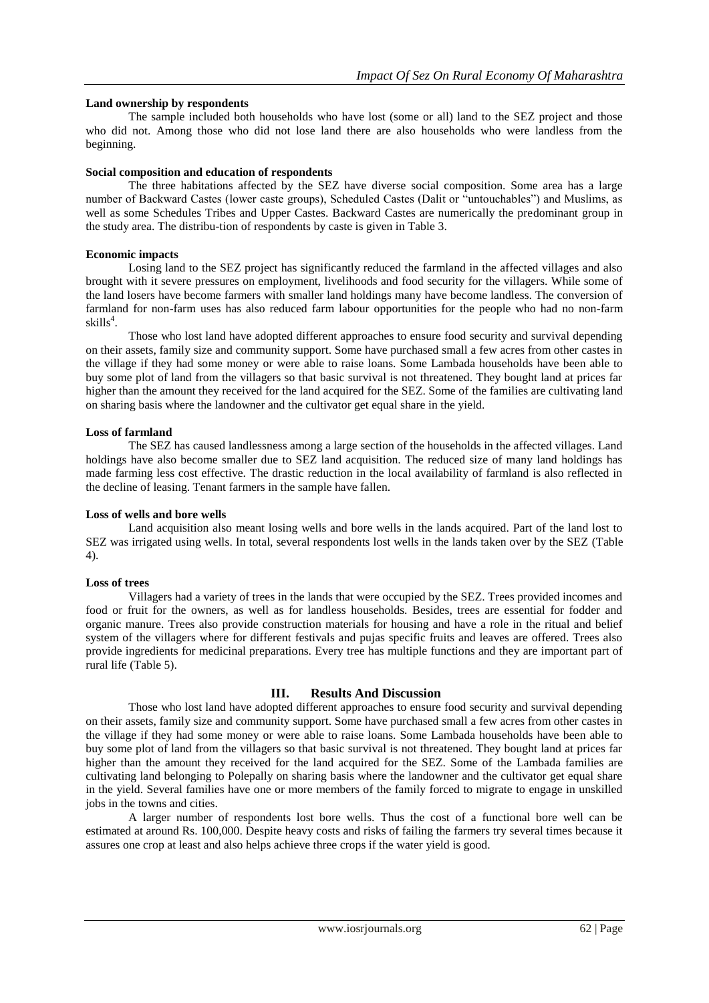### **Land ownership by respondents**

The sample included both households who have lost (some or all) land to the SEZ project and those who did not. Among those who did not lose land there are also households who were landless from the beginning.

#### **Social composition and education of respondents**

The three habitations affected by the SEZ have diverse social composition. Some area has a large number of Backward Castes (lower caste groups), Scheduled Castes (Dalit or "untouchables") and Muslims, as well as some Schedules Tribes and Upper Castes. Backward Castes are numerically the predominant group in the study area. The distribu-tion of respondents by caste is given in Table 3.

#### **Economic impacts**

Losing land to the SEZ project has significantly reduced the farmland in the affected villages and also brought with it severe pressures on employment, livelihoods and food security for the villagers. While some of the land losers have become farmers with smaller land holdings many have become landless. The conversion of farmland for non-farm uses has also reduced farm labour opportunities for the people who had no non-farm skills<sup>4</sup>.

Those who lost land have adopted different approaches to ensure food security and survival depending on their assets, family size and community support. Some have purchased small a few acres from other castes in the village if they had some money or were able to raise loans. Some Lambada households have been able to buy some plot of land from the villagers so that basic survival is not threatened. They bought land at prices far higher than the amount they received for the land acquired for the SEZ. Some of the families are cultivating land on sharing basis where the landowner and the cultivator get equal share in the yield.

#### **Loss of farmland**

The SEZ has caused landlessness among a large section of the households in the affected villages. Land holdings have also become smaller due to SEZ land acquisition. The reduced size of many land holdings has made farming less cost effective. The drastic reduction in the local availability of farmland is also reflected in the decline of leasing. Tenant farmers in the sample have fallen.

#### **Loss of wells and bore wells**

Land acquisition also meant losing wells and bore wells in the lands acquired. Part of the land lost to SEZ was irrigated using wells. In total, several respondents lost wells in the lands taken over by the SEZ (Table 4).

### **Loss of trees**

Villagers had a variety of trees in the lands that were occupied by the SEZ. Trees provided incomes and food or fruit for the owners, as well as for landless households. Besides, trees are essential for fodder and organic manure. Trees also provide construction materials for housing and have a role in the ritual and belief system of the villagers where for different festivals and pujas specific fruits and leaves are offered. Trees also provide ingredients for medicinal preparations. Every tree has multiple functions and they are important part of rural life (Table 5).

### **III. Results And Discussion**

Those who lost land have adopted different approaches to ensure food security and survival depending on their assets, family size and community support. Some have purchased small a few acres from other castes in the village if they had some money or were able to raise loans. Some Lambada households have been able to buy some plot of land from the villagers so that basic survival is not threatened. They bought land at prices far higher than the amount they received for the land acquired for the SEZ. Some of the Lambada families are cultivating land belonging to Polepally on sharing basis where the landowner and the cultivator get equal share in the yield. Several families have one or more members of the family forced to migrate to engage in unskilled jobs in the towns and cities.

A larger number of respondents lost bore wells. Thus the cost of a functional bore well can be estimated at around Rs. 100,000. Despite heavy costs and risks of failing the farmers try several times because it assures one crop at least and also helps achieve three crops if the water yield is good.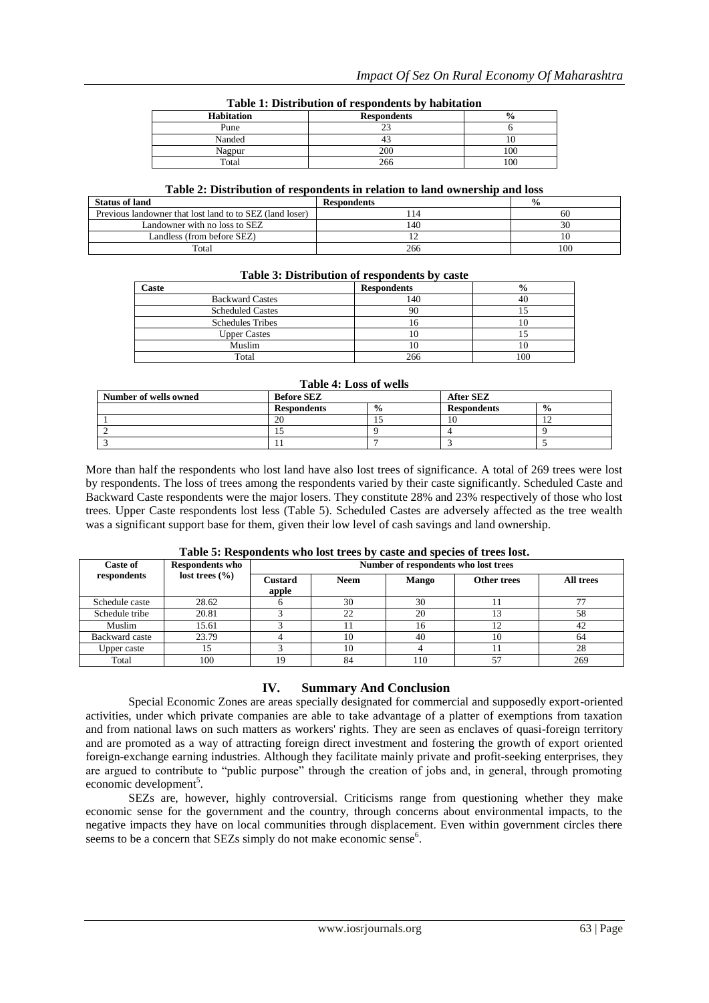| Table 1: Distribution of respondents by habitation |                    |  |  |
|----------------------------------------------------|--------------------|--|--|
| <b>Habitation</b>                                  | <b>Respondents</b> |  |  |
| Pune                                               |                    |  |  |

Nanded 10 43 10 Nagpur 200 100 Total 100

# **Table 1: Distribution of respondents by habitation**

### **Table 2: Distribution of respondents in relation to land ownership and loss**

| <b>Status of land</b>                                    | <b>Respondents</b> | $\frac{0}{0}$ |
|----------------------------------------------------------|--------------------|---------------|
| Previous landowner that lost land to to SEZ (land loser) |                    | 60            |
| Landowner with no loss to SEZ                            | 140                |               |
| Landless (from before SEZ)                               |                    |               |
| Total                                                    | 266                | 100           |

# **Table 3: Distribution of respondents by caste**

| Caste                   | <b>Respondents</b> | $\frac{6}{9}$ |
|-------------------------|--------------------|---------------|
| <b>Backward Castes</b>  | 140                | 40            |
| <b>Scheduled Castes</b> | 90                 |               |
| <b>Schedules Tribes</b> | I ()               |               |
| <b>Upper Castes</b>     | IО                 |               |
| Muslim                  | 10                 | 10            |
| Total                   | 266                | 100           |

### **Table 4: Loss of wells**

| Number of wells owned | <b>Before SEZ</b>  |               | <b>After SEZ</b>   |               |
|-----------------------|--------------------|---------------|--------------------|---------------|
|                       | <b>Respondents</b> | $\frac{0}{0}$ | <b>Respondents</b> | $\frac{0}{0}$ |
|                       | 20                 |               |                    | . .           |
|                       |                    |               |                    |               |
|                       |                    |               |                    |               |

More than half the respondents who lost land have also lost trees of significance. A total of 269 trees were lost by respondents. The loss of trees among the respondents varied by their caste significantly. Scheduled Caste and Backward Caste respondents were the major losers. They constitute 28% and 23% respectively of those who lost trees. Upper Caste respondents lost less (Table 5). Scheduled Castes are adversely affected as the tree wealth was a significant support base for them, given their low level of cash savings and land ownership.

| <b>Caste of</b>                   | <b>Respondents who</b>  | Number of respondents who lost trees |              |             |           |     |
|-----------------------------------|-------------------------|--------------------------------------|--------------|-------------|-----------|-----|
| lost trees $(\% )$<br>respondents | <b>Custard</b><br>apple | <b>Neem</b>                          | <b>Mango</b> | Other trees | All trees |     |
| Schedule caste                    | 28.62                   |                                      | 30           | 30          |           |     |
| Schedule tribe                    | 20.81                   |                                      | 22           | 20          |           | 58  |
| Muslim                            | 15.61                   |                                      |              | 16          | 12        | 42  |
| Backward caste                    | 23.79                   |                                      | 10           | 40          | 10        | 64  |
| Upper caste                       |                         |                                      | 10           |             |           | 28  |
| Total                             | 100                     | 19                                   | 84           | 110         | -7        | 269 |

## **Table 5: Respondents who lost trees by caste and species of trees lost.**

# **IV. Summary And Conclusion**

Special Economic Zones are areas specially designated for commercial and supposedly export-oriented activities, under which private companies are able to take advantage of a platter of exemptions from taxation and from national laws on such matters as workers' rights. They are seen as enclaves of quasi-foreign territory and are promoted as a way of attracting foreign direct investment and fostering the growth of export oriented foreign-exchange earning industries. Although they facilitate mainly private and profit-seeking enterprises, they are argued to contribute to "public purpose" through the creation of jobs and, in general, through promoting economic development<sup>5</sup>.

SEZs are, however, highly controversial. Criticisms range from questioning whether they make economic sense for the government and the country, through concerns about environmental impacts, to the negative impacts they have on local communities through displacement. Even within government circles there seems to be a concern that SEZs simply do not make economic sense<sup>6</sup>.